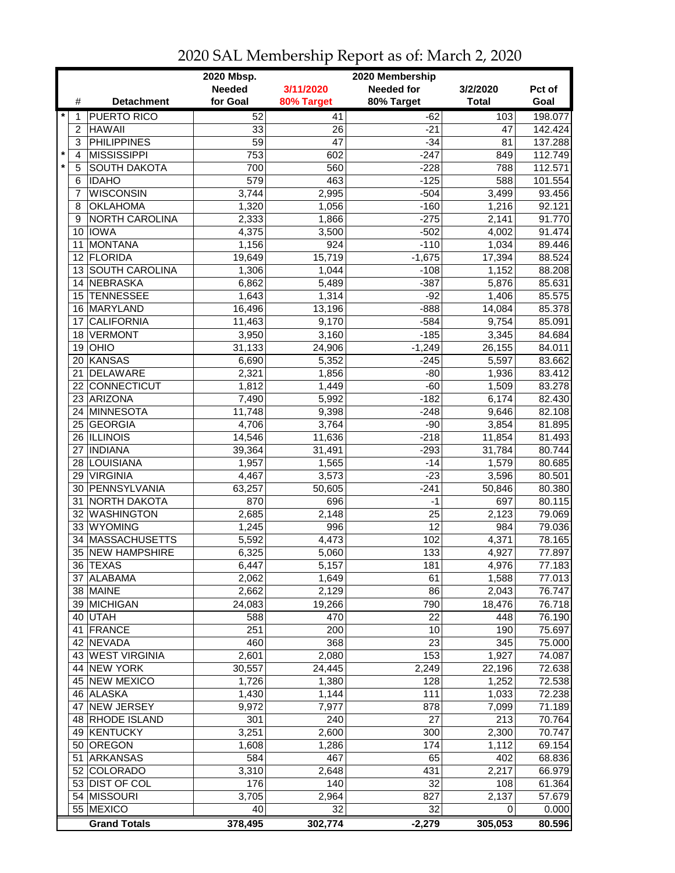|         |                 |                            | 2020 Mbsp.<br>2020 Membership |                 |                    |                |         |  |
|---------|-----------------|----------------------------|-------------------------------|-----------------|--------------------|----------------|---------|--|
|         |                 |                            | <b>Needed</b>                 | 3/11/2020       | <b>Needed for</b>  | 3/2/2020       | Pct of  |  |
|         | #               | <b>Detachment</b>          | for Goal                      | 80% Target      | 80% Target         | <b>Total</b>   | Goal    |  |
| $\ast$  | 1               | <b>PUERTO RICO</b>         | 52                            | 41              | $-62$              | 103            | 198.077 |  |
|         | $\overline{c}$  | <b>HAWAII</b>              | 33                            | 26              | $-21$              | 47             | 142.424 |  |
|         | 3               | <b>PHILIPPINES</b>         | $\overline{59}$               | 47              | $-34$              | 81             | 137.288 |  |
| $\star$ | $\overline{4}$  | <b>MISSISSIPPI</b>         | 753                           | 602             | $-247$             | 849            | 112.749 |  |
|         | 5               | SOUTH DAKOTA               | 700                           | 560             | $-228$             | 788            | 112.571 |  |
|         | 6               | <b>IDAHO</b>               | 579                           | 463             | $-125$             | 588            | 101.554 |  |
|         | 7               | <b>WISCONSIN</b>           | 3,744                         | 2,995           | $-504$             | 3,499          | 93.456  |  |
|         | 8               | <b>OKLAHOMA</b>            | 1,320                         | 1,056           | $-160$             | 1,216          | 92.121  |  |
|         | 9               | NORTH CAROLINA             | 2,333                         | 1,866           | $-275$             | 2,141          | 91.770  |  |
|         | 10              | <b>IOWA</b>                | 4,375                         | 3,500           | $-502$             | 4,002          | 91.474  |  |
|         | 11              | <b>MONTANA</b>             | 1,156                         | 924             | $-110$             | 1,034          | 89.446  |  |
|         |                 | 12 FLORIDA                 | 19,649                        | 15,719          | $-1,675$           | 17,394         | 88.524  |  |
|         |                 | 13 SOUTH CAROLINA          | 1,306                         | 1,044           | $-108$             | 1,152          | 88.208  |  |
|         | 14              | <b>NEBRASKA</b>            | 6,862                         | 5,489           | $-387$             | 5,876          | 85.631  |  |
|         | 15              | <b>TENNESSEE</b>           |                               |                 |                    |                | 85.575  |  |
|         |                 | MARYLAND                   | 1,643                         | 1,314<br>13,196 | $-92$              | 1,406          | 85.378  |  |
|         | 16<br>17        | <b>CALIFORNIA</b>          | 16,496                        |                 | $-888$<br>$-584$   | 14,084         | 85.091  |  |
|         | 18              | <b>VERMONT</b>             | 11,463<br>3,950               | 9,170<br>3,160  | $-185$             | 9,754<br>3,345 | 84.684  |  |
|         |                 | OHIO                       |                               | 24,906          |                    |                | 84.011  |  |
|         | 19              | 20 KANSAS                  | 31,133                        |                 | $-1,249$<br>$-245$ | 26,155         |         |  |
|         |                 |                            | 6,690                         | 5,352           |                    | 5,597          | 83.662  |  |
|         | 21              | DELAWARE<br>22 CONNECTICUT | 2,321                         | 1,856           | $-80$              | 1,936          | 83.412  |  |
|         |                 |                            | 1,812                         | 1,449           | $-60$              | 1,509          | 83.278  |  |
|         |                 | 23 ARIZONA                 | 7,490                         | 5,992           | $-182$             | 6,174          | 82.430  |  |
|         |                 | 24 MINNESOTA               | 11,748                        | 9,398           | $-248$             | 9,646          | 82.108  |  |
|         | 25 <sub>1</sub> | GEORGIA                    | 4,706                         | 3,764           | $-90$              | 3,854          | 81.895  |  |
|         |                 | 26 ILLINOIS                | 14,546                        | 11,636          | $-218$             | 11,854         | 81.493  |  |
|         | 27              | <b>INDIANA</b>             | 39,364                        | 31,491          | $-293$             | 31,784         | 80.744  |  |
|         | 28              | <b>LOUISIANA</b>           | 1,957                         | 1,565           | $-14$              | 1,579          | 80.685  |  |
|         | 29              | <b>VIRGINIA</b>            | 4,467                         | 3,573           | $-23$              | 3,596          | 80.501  |  |
|         | 30              | PENNSYLVANIA               | 63,257                        | 50,605          | $-241$             | 50,846         | 80.380  |  |
|         | 31              | NORTH DAKOTA               | 870                           | 696             | -1                 | 697            | 80.115  |  |
|         | 32              | <b>WASHINGTON</b>          | 2,685                         | 2,148           | 25                 | 2,123          | 79.069  |  |
|         |                 | 33 WYOMING                 | 1,245                         | 996             | 12                 | 984            | 79.036  |  |
|         | 34              | <b>MASSACHUSETTS</b>       | 5,592                         | 4,473           | 102                | 4,371          | 78.165  |  |
|         | 35              | <b>NEW HAMPSHIRE</b>       | 6,325                         | 5,060           | 133                | 4,927          | 77.897  |  |
|         |                 | 36 TEXAS                   | 6,447                         | 5,157           | $\overline{181}$   | 4,976          | 77.183  |  |
|         |                 | 37 ALABAMA                 | 2,062                         | 1,649           | 61                 | 1,588          | 77.013  |  |
|         |                 | 38 MAINE                   | 2,662                         | 2,129           | 86                 | 2,043          | 76.747  |  |
|         |                 | 39 MICHIGAN                | 24,083                        | 19,266          | 790                | 18,476         | 76.718  |  |
|         |                 | 40 UTAH                    | 588                           | 470             | 22                 | 448            | 76.190  |  |
|         |                 | 41 FRANCE                  | 251                           | 200             | 10                 | 190            | 75.697  |  |
|         |                 | 42 NEVADA                  | 460                           | 368             | $\overline{23}$    | 345            | 75.000  |  |
|         |                 | 43 WEST VIRGINIA           | 2,601                         | 2,080           | 153                | 1,927          | 74.087  |  |
|         |                 | 44 NEW YORK                | 30,557                        | 24,445          | 2,249              | 22,196         | 72.638  |  |
|         |                 | 45 NEW MEXICO              | 1,726                         | 1,380           | 128                | 1,252          | 72.538  |  |
|         |                 | 46 ALASKA                  | 1,430                         | 1,144           | 111                | 1,033          | 72.238  |  |
|         | 47              | <b>NEW JERSEY</b>          | 9,972                         | 7,977           | 878                | 7,099          | 71.189  |  |
|         |                 | 48 RHODE ISLAND            | 301                           | 240             | 27                 | 213            | 70.764  |  |
|         |                 | 49 KENTUCKY                | 3,251                         | 2,600           | 300                | 2,300          | 70.747  |  |
|         | 50              | OREGON                     | 1,608                         | 1,286           | 174                | 1,112          | 69.154  |  |
|         | 51              | <b>ARKANSAS</b>            | 584                           | 467             | 65                 | 402            | 68.836  |  |
|         |                 | 52 COLORADO                | 3,310                         | 2,648           | 431                | 2,217          | 66.979  |  |
|         |                 | 53 DIST OF COL             | 176                           | 140             | 32                 | 108            | 61.364  |  |
|         |                 | 54 MISSOURI                | 3,705                         | 2,964           | 827                | 2,137          | 57.679  |  |
|         |                 | 55 MEXICO                  | 40                            | 32              | 32                 | 0              | 0.000   |  |
|         |                 | <b>Grand Totals</b>        | 378,495                       | 302,774         | $-2,279$           | 305,053        | 80.596  |  |

2020 SAL Membership Report as of: March 2, 2020